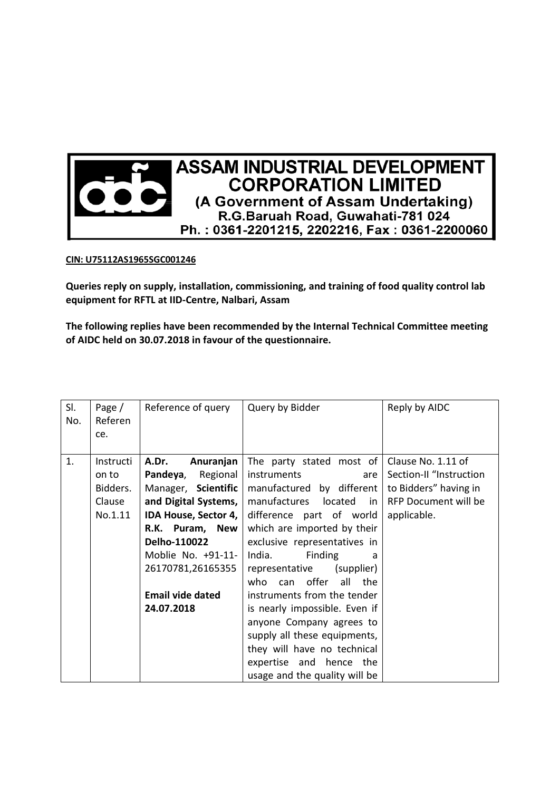

## **CIN: U75112AS1965SGC001246**

**Queries reply on supply, installation, commissioning, and training of food quality control lab equipment for RFTL at IID-Centre, Nalbari, Assam** 

**The following replies have been recommended by the Internal Technical Committee meeting of AIDC held on 30.07.2018 in favour of the questionnaire.** 

| SI.<br>No. | Page /<br>Referen<br>ce.                            | Reference of query                                                                                                                                                                              | Query by Bidder                                                                                                                                                                                                                                                   | Reply by AIDC                                                                                                 |
|------------|-----------------------------------------------------|-------------------------------------------------------------------------------------------------------------------------------------------------------------------------------------------------|-------------------------------------------------------------------------------------------------------------------------------------------------------------------------------------------------------------------------------------------------------------------|---------------------------------------------------------------------------------------------------------------|
| 1.         | Instructi<br>on to<br>Bidders.<br>Clause<br>No.1.11 | A.Dr.<br>Anuranjan<br>Pandeya,<br>Regional<br>Manager, Scientific<br>and Digital Systems,<br>IDA House, Sector 4,<br>R.K. Puram, New<br>Delho-110022<br>Moblie No. +91-11-<br>26170781,26165355 | The party stated most of<br>instruments<br>are<br>manufactured by different<br>manufactures<br>located<br>in<br>difference part of world<br>which are imported by their<br>exclusive representatives in<br>India.<br>Finding<br>a<br>representative<br>(supplier) | Clause No. 1.11 of<br>Section-II "Instruction<br>to Bidders" having in<br>RFP Document will be<br>applicable. |
|            |                                                     | <b>Email vide dated</b><br>24.07.2018                                                                                                                                                           | offer<br>all<br>who can<br>the<br>instruments from the tender<br>is nearly impossible. Even if<br>anyone Company agrees to<br>supply all these equipments,<br>they will have no technical<br>expertise and hence the<br>usage and the quality will be             |                                                                                                               |